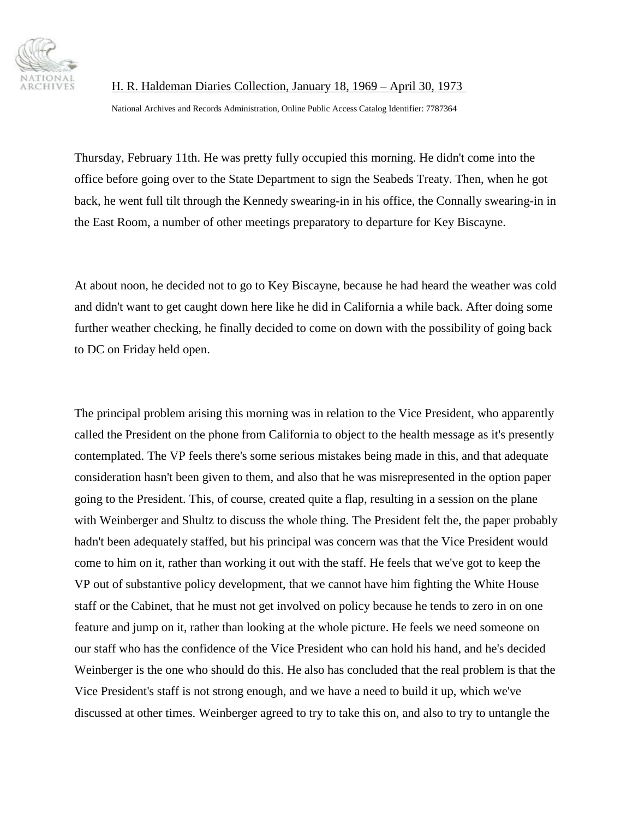

H. R. Haldeman Diaries Collection, January 18, 1969 – April 30, 1973

National Archives and Records Administration, Online Public Access Catalog Identifier: 7787364

Thursday, February 11th. He was pretty fully occupied this morning. He didn't come into the office before going over to the State Department to sign the Seabeds Treaty. Then, when he got back, he went full tilt through the Kennedy swearing-in in his office, the Connally swearing-in in the East Room, a number of other meetings preparatory to departure for Key Biscayne.

At about noon, he decided not to go to Key Biscayne, because he had heard the weather was cold and didn't want to get caught down here like he did in California a while back. After doing some further weather checking, he finally decided to come on down with the possibility of going back to DC on Friday held open.

The principal problem arising this morning was in relation to the Vice President, who apparently called the President on the phone from California to object to the health message as it's presently contemplated. The VP feels there's some serious mistakes being made in this, and that adequate consideration hasn't been given to them, and also that he was misrepresented in the option paper going to the President. This, of course, created quite a flap, resulting in a session on the plane with Weinberger and Shultz to discuss the whole thing. The President felt the, the paper probably hadn't been adequately staffed, but his principal was concern was that the Vice President would come to him on it, rather than working it out with the staff. He feels that we've got to keep the VP out of substantive policy development, that we cannot have him fighting the White House staff or the Cabinet, that he must not get involved on policy because he tends to zero in on one feature and jump on it, rather than looking at the whole picture. He feels we need someone on our staff who has the confidence of the Vice President who can hold his hand, and he's decided Weinberger is the one who should do this. He also has concluded that the real problem is that the Vice President's staff is not strong enough, and we have a need to build it up, which we've discussed at other times. Weinberger agreed to try to take this on, and also to try to untangle the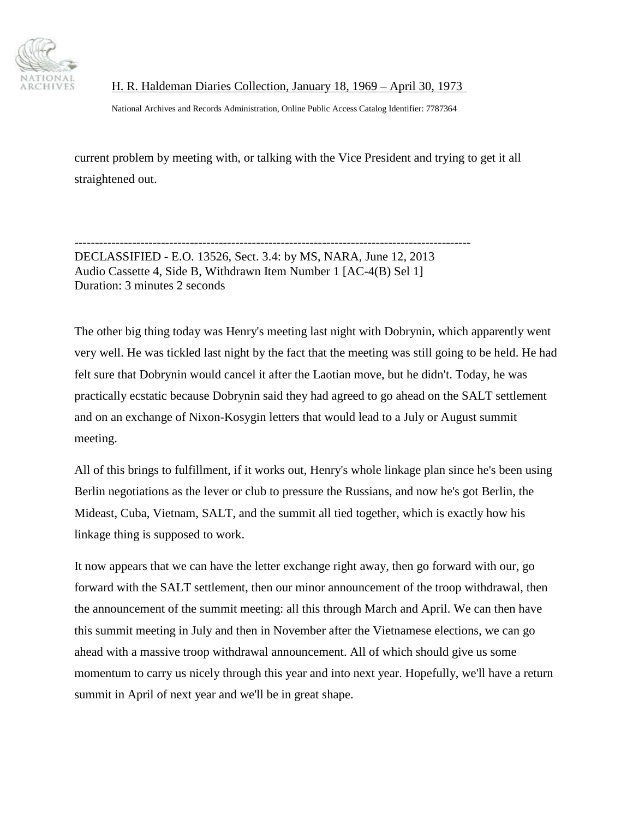

H. R. Haldeman Diaries Collection, January 18, 1969 – April 30, 1973

National Archives and Records Administration, Online Public Access Catalog Identifier: 7787364

current problem by meeting with, or talking with the Vice President and trying to get it all straightened out.

------------------------------------------------------------------------------------------------ DECLASSIFIED - E.O. 13526, Sect. 3.4: by MS, NARA, June 12, 2013 Audio Cassette 4, Side B, Withdrawn Item Number 1 [AC-4(B) Sel 1] Duration: 3 minutes 2 seconds

The other big thing today was Henry's meeting last night with Dobrynin, which apparently went very well. He was tickled last night by the fact that the meeting was still going to be held. He had felt sure that Dobrynin would cancel it after the Laotian move, but he didn't. Today, he was practically ecstatic because Dobrynin said they had agreed to go ahead on the SALT settlement and on an exchange of Nixon-Kosygin letters that would lead to a July or August summit meeting.

All of this brings to fulfillment, if it works out, Henry's whole linkage plan since he's been using Berlin negotiations as the lever or club to pressure the Russians, and now he's got Berlin, the Mideast, Cuba, Vietnam, SALT, and the summit all tied together, which is exactly how his linkage thing is supposed to work.

It now appears that we can have the letter exchange right away, then go forward with our, go forward with the SALT settlement, then our minor announcement of the troop withdrawal, then the announcement of the summit meeting: all this through March and April. We can then have this summit meeting in July and then in November after the Vietnamese elections, we can go ahead with a massive troop withdrawal announcement. All of which should give us some momentum to carry us nicely through this year and into next year. Hopefully, we'll have a return summit in April of next year and we'll be in great shape.